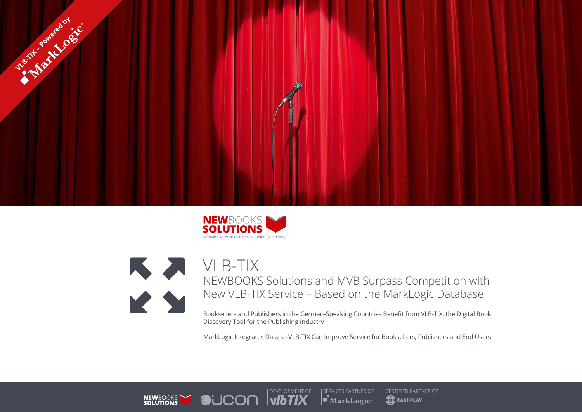





VLB-TIX NEWBOOKS Solutions and MVB Surpass Competition with New VLB-TIX Service – Based on the MarkLogic Database.

Booksellers and Publishers in the German-Speaking Countries Benefit from VLB-TIX, the Digital Book Discovery Tool for the Publishing Industry

MarkLogic Integrates Data so VLB-TIX Can Improve Service for Booksellers, Publishers and End Users



 $| \blacksquare^{\bullet}$ MarkLogic $\cdot$ 

**COLLET SERVICES PARTNER OF CERTIFIED PARTNER OF CERTIFIED PARTNER OF SERVICES PARTNER OF CERTIFIED PARTNER OF D**HASHPLAY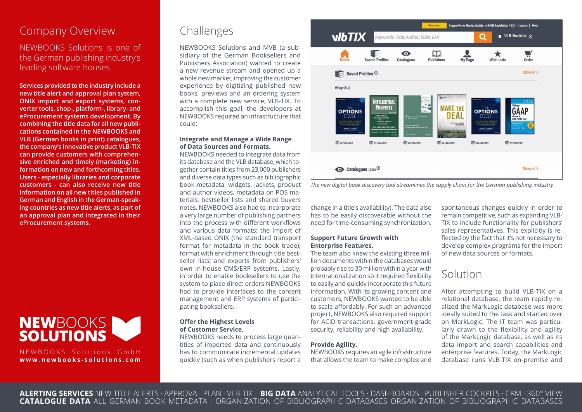## Company Overview

NEWBOOKS Solutions is one of the German publishing industry's leading software houses.

**Services provided to the industry include a new title alert and approval plan system, ONIX import and export systems, converter tools, shop-, platform-, library- and eProcurement systems development. By combining the title data for all new publications contained in the NEWBOOKS and VLB (German books in print) catalogues, the company's innovative product VLB-TIX can provide customers with comprehensive enriched and timely (marketing) information on new and forthcoming titles. Users - especially libraries and corporate customers - can also receive new title information on all new titles published in German and English in the German-speaking countries as new title alerts, as part of an approval plan and integrated in their eProcurement systems.**



NEWBOOKS Solutions GmbH **www.newbooks-solutions.com**

# Challenges

NEWBOOKS Solutions and MVB (a subsidiary of the German Booksellers and Publishers Association) wanted to create a new revenue stream and opened up a whole new market, improving the customer experience by digitizing published new books, previews and an ordering system with a complete new service, VLB-TIX. To accomplish this goal, the developers at NEWBOOKS required an infrastructure that could:

### **Integrate and Manage a Wide Range of Data Sources and Formats.**

NEWBOOKS needed to integrate data from its database and the VLB database, which together contain titles from 23,000 publishers and diverse data types such as bibliographic book metadata, widgets, jackets, product and author videos, metadata on POS materials, bestseller lists and shared buyers notes. NEWBOOKS also had to incorporate a very large number of publishing partners into the process with different workflows and various data formats: the import of XML-based ONIX (the standard transport format for metadata in the book trade); format with enrichment through title bestseller lists; and exports from publishers' own in-house CMS/ERP systems. Lastly, in order to enable booksellers to use the system to place direct orders NEWBOOKS had to provide interfaces to the content management and ERP systems of participating booksellers.

### **Offer the Highest Levels of Customer Service.**

NEWBOOKS needs to process large quantities of imported data and continuously has to communicate incremental updates quickly (such as when publishers report a





change in a title's availability). The data also has to be easily discoverable without the need for time-consuming synchronization.

### **Support Future Growth with Enterprise Features.**

The team also knew the existing three million documents within the databases would probably rise to 30 million within a year with internationalization so it required flexibility to easily and quickly incorporate this future information. With its growing content and customers, NEWBOOKS wanted to be able to scale affordably. For such an advanced project, NEWBOOKS also required support for ACID transactions, government-grade security, reliability and high availability.

### **Provide Agility.**

NEWBOOKS requires an agile infrastructure that allows the team to make complex and

spontaneous changes quickly in order to remain competitive, such as expanding VLB-TIX to include functionality for publishers' sales representatives. This explicitly is reflected by the fact that it's not necessary to develop complex programs for the import of new data sources or formats.

## Solution

After attempting to build VLB-TIX on a relational database, the team rapidly realized the MarkLogic database was more ideally suited to the task and started over on MarkLogic. The IT team was particularly drawn to the flexibility and agility of the MarkLogic database, as well as its data import and search capabilities and enterprise features. Today, the MarkLogic database runs VLB-TIX on-premise and

**ALERTING SERVICES** NEW TITLE ALERTS · APPROVAL PLAN · VLB-TIX **BIG DATA** ANALYTICAL TOOLS · DASHBOARDS · PUBLISHER COCKPITS · CRM · 360° VIEW **CATALOGUE DATA** ALL GERMAN BOOK METADATA · ORGANIZATION OF BIBLIOGRAPHIC DATABASES ORGANIZATION OF BIBLIOGRAPHIC DATABASES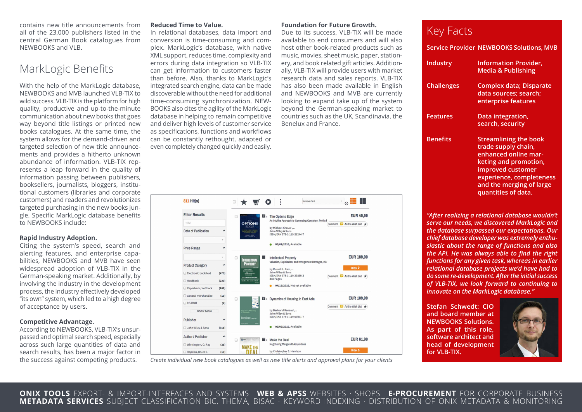contains new title announcements from all of the 23,000 publishers listed in the central German Book catalogues from NEWBOOKS and VLB.

### MarkLogic Benefits

With the help of the MarkLogic database, NEWBOOKS and MVB launched VLB-TIX to wild success. VLB-TIX is the platform for high quality, productive and up-to-the-minute communication about new books that goes way beyond title listings or printed new books catalogues. At the same time, the system allows for the demand-driven and targeted selection of new title announcements and provides a hitherto unknown abundance of information. VLB-TIX represents a leap forward in the quality of information passing between publishers, booksellers, journalists, bloggers, institutional customers (libraries and corporate customers) and readers and revolutionizes targeted purchasing in the new books jungle. Specific MarkLogic database benefits to NEWBOOKS include:

#### **Rapid Industry Adoption.**

Citing the system's speed, search and alerting features, and enterprise capabilities, NEWBOOKS and MVB have seen widespread adoption of VLB-TIX in the German-speaking market. Additionally, by involving the industry in the development process, the industry effectively developed "its own" system, which led to a high degree of acceptance by users.

#### **Competitive Advantage.**

According to NEWBOOKS, VLB-TIX's unsurpassed and optimal search speed, especially across such large quantities of data and search results, has been a major factor in the success against competing products.

#### **Reduced Time to Value.**

In relational databases, data import and conversion is time-consuming and complex. MarkLogic's database, with native XML support, reduces time, complexity and errors during data integration so VLB-TIX can get information to customers faster than before. Also, thanks to MarkLogic's integrated search engine, data can be made discoverable without the need for additional time-consuming synchronization. NEW-BOOKS also cites the agility of the MarkLogic database in helping to remain competitive and deliver high levels of customer service as specifications, functions and workflows can be constantly rethought, adapted or even completely changed quickly and easily.

### **Foundation for Future Growth.**

Due to its success, VLB-TIX will be made available to end consumers and will also host other book-related products such as music, movies, sheet music, paper, stationery, and book related gift articles. Additionally, VLB-TIX will provide users with market research data and sales reports. VLB-TIX has also been made available in English and NEWBOOKS and MVB are currently looking to expand take up of the system beyond the German-speaking market to countries such as the UK, Scandinavia, the Benelux and France.

| 811 Hit(s)              |                               |   |                                                                    |                                                                         | Relevance                                                | 22<br>٠                                   |
|-------------------------|-------------------------------|---|--------------------------------------------------------------------|-------------------------------------------------------------------------|----------------------------------------------------------|-------------------------------------------|
| <b>Filter Results</b>   |                               | п |                                                                    | <b>Ex</b> The Options Edge                                              |                                                          | <b>EUR 40,99</b>                          |
| Title                   |                               |   | THE<br><b>OPTIONS</b>                                              |                                                                         | An Intuitive Approach to Generating Consistent Profits f | Add to Wish List *<br>Comment<br>$\equiv$ |
| Date of Publication     | ^                             |   | <b>EDGE</b><br>PETER THE BRIDE<br><b>ACCORD &amp; ENGINEERING</b>  | by Michael Khouw<br>John Wiley & Sons<br>ISBN/EAN 978-1-119-21244-7     |                                                          |                                           |
| <b>Price Range</b>      | ۰<br>$\overline{\phantom{a}}$ |   |                                                                    | 03/01/2016, Available                                                   |                                                          |                                           |
|                         | ۰                             | c | <b>INTELLECTUAL</b>                                                | <b>Intellectual Property</b>                                            | Valuation, Exploitation, and Infringement Damages, 201   | <b>EUR 189,00</b>                         |
| <b>Product Category</b> | ۸                             |   | <b>PROPERTY</b>                                                    |                                                                         |                                                          | Order >                                   |
| Electronic book text    | (470)                         |   | VALUATION,<br><b>DURINGEMENT</b>                                   | by Russell L. Parr ,<br>John Wiley & Sons<br>ISBN/EAN 978-1-119-23839-3 |                                                          | e<br>Add to Wish List *<br>Comment        |
| Hardback                | (220)                         |   | 2016 COMULATIVE SUPPLEMENT<br><b>Result 1. Part Contra V Sept.</b> | 448 Pages                                                               |                                                          |                                           |
| Paperback / softback    | (108)                         |   |                                                                    |                                                                         | 04/13/2016, Not yet available                            |                                           |
| General merchandise     | (10)                          | G |                                                                    | <b>Example 3</b> R Dynamics of Housing in East Asia                     |                                                          | <b>EUR 109,99</b>                         |
| CD-ROM                  | (2)                           |   |                                                                    |                                                                         |                                                          | Add to Wish List *<br>Comment<br>О        |
| Show More               |                               |   | Dynamics of Housing<br>In East Asia<br>Low Mass Kim & Man Che      | by Bertrand Renaud ,<br>John Wiley & Sons<br>ISBN/EAN 978-1-119-09071-7 |                                                          |                                           |
| Publisher               | $\lambda$                     |   |                                                                    |                                                                         |                                                          |                                           |
| John Wiley & Sons       | (811)                         |   |                                                                    | 03/03/2016, Available                                                   |                                                          |                                           |
| Author / Publisher      | $\hat{\phantom{a}}$           | o |                                                                    | $\blacksquare$ <b>Make the Deal</b>                                     |                                                          | <b>EUR 61,90</b>                          |
| Whittington, O. Ray     | (25)                          |   | <b>MAKE THE</b>                                                    | <b>Negotiating Mergers &amp; Acquisitions</b>                           |                                                          |                                           |
| Hopkins, Bruce R.       | (17)                          |   |                                                                    | by Christopher S. Harrison                                              |                                                          | Order >                                   |

*Create individual new book catalogues as well as new title alerts and approval plans for your clients*

# Key Facts

|                   | <b>Service Provider NEWBOOKS Solutions, MVB</b>                            |
|-------------------|----------------------------------------------------------------------------|
| Industry          | <b>Information Provider,</b><br><b>Media &amp; Publishing</b>              |
| <b>Challenges</b> | Complex data; Disparate<br>data sources; search;<br>enterprise features    |
| <b>Features</b>   | Data integration,<br>search, security                                      |
| <b>Benefits</b>   | <b>Streamlining the book</b><br>trade supply chain,<br>anhanced online mar |

**enhanced online marketing and promotion, improved customer experience, completeness and the merging of large quantities of data.**

*"After realizing a relational database wouldn't serve our needs, we discovered MarkLogic and the database surpassed our expectations. Our chief database developer was extremely enthusiastic about the range of functions and also the API. He was always able to find the right functions for any given task, whereas in earlier relational database projects we'd have had to do some re-development. After the initial success of VLB-TIX, we look forward to continuing to innovate on the MarkLogic database."*

**Stefan Schwedt: CIO and board member at NEWBOOKS Solutions. As part of this role, software architect and head of development for VLB-TIX.**